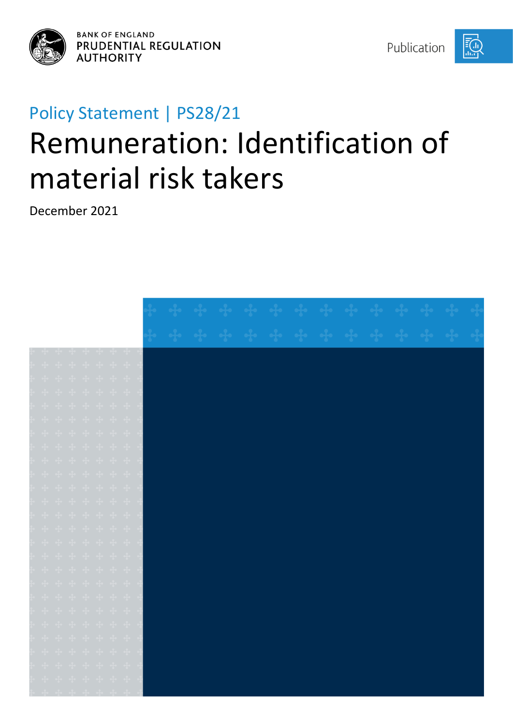

**BANK OF ENGLAND** PRUDENTIAL REGULATION **AUTHORITY** 

Publication

EG,

# Policy Statement | PS28/21 Remuneration: Identification of material risk takers

December 2021

| $\frac{1}{2} \left( \begin{array}{ccc} -\frac{1}{2} & -\frac{1}{2} & -\frac{1}{2} & -\frac{1}{2} & -\frac{1}{2} & -\frac{1}{2} \end{array} \right)$                                                                                                                                                                                                                                                                                                                     |  |                    |  |  |  |  |  |  |  |  |  |
|-------------------------------------------------------------------------------------------------------------------------------------------------------------------------------------------------------------------------------------------------------------------------------------------------------------------------------------------------------------------------------------------------------------------------------------------------------------------------|--|--------------------|--|--|--|--|--|--|--|--|--|
|                                                                                                                                                                                                                                                                                                                                                                                                                                                                         |  |                    |  |  |  |  |  |  |  |  |  |
|                                                                                                                                                                                                                                                                                                                                                                                                                                                                         |  |                    |  |  |  |  |  |  |  |  |  |
| + + + + + + +                                                                                                                                                                                                                                                                                                                                                                                                                                                           |  |                    |  |  |  |  |  |  |  |  |  |
| $\begin{array}{ccccccccccccc} \mathbf{d}_1 & \mathbf{d}_2 & \mathbf{d}_3 & \mathbf{d}_4 & \mathbf{d}_5 & \mathbf{d}_7 & \mathbf{d}_8 & \mathbf{d}_7 & \mathbf{d}_8 \end{array}$                                                                                                                                                                                                                                                                                         |  |                    |  |  |  |  |  |  |  |  |  |
|                                                                                                                                                                                                                                                                                                                                                                                                                                                                         |  |                    |  |  |  |  |  |  |  |  |  |
| $\frac{1}{4} \left( -\frac{1}{4} \left( -\frac{1}{4} \left( -\frac{1}{4} \left( -\frac{1}{4} \left( -\frac{1}{4} \left( -\frac{1}{4} \right) \right) \right) \right) - \frac{1}{4} \left( -\frac{1}{4} \left( -\frac{1}{4} \left( -\frac{1}{4} \right) \right) \right) \right)$                                                                                                                                                                                         |  |                    |  |  |  |  |  |  |  |  |  |
|                                                                                                                                                                                                                                                                                                                                                                                                                                                                         |  |                    |  |  |  |  |  |  |  |  |  |
| $\begin{array}{cccccccccccccc} \bullet\frac{1}{2} & \bullet\frac{1}{2} & \bullet\frac{1}{2} & \bullet\frac{1}{2} & \bullet\frac{1}{2} & \bullet\frac{1}{2} & \bullet\frac{1}{2} & \bullet\frac{1}{2} & \bullet\frac{1}{2} \end{array}$                                                                                                                                                                                                                                  |  |                    |  |  |  |  |  |  |  |  |  |
| $\begin{array}{ccccccccccccc} \bullet\bullet\bullet & \bullet\bullet\bullet & \bullet\bullet\bullet & \bullet\bullet\bullet & \bullet\bullet\bullet & \bullet\bullet\bullet & \bullet\bullet\bullet & \bullet\bullet\bullet \end{array}$                                                                                                                                                                                                                                |  |                    |  |  |  |  |  |  |  |  |  |
|                                                                                                                                                                                                                                                                                                                                                                                                                                                                         |  |                    |  |  |  |  |  |  |  |  |  |
| $\frac{1}{2} \begin{pmatrix} 1 & \frac{1}{2} & \frac{1}{2} & \frac{1}{2} & \frac{1}{2} & \frac{1}{2} & \frac{1}{2} & \frac{1}{2} & \frac{1}{2} & \frac{1}{2} & \frac{1}{2} & \frac{1}{2} & \frac{1}{2} & \frac{1}{2} & \frac{1}{2} & \frac{1}{2} & \frac{1}{2} & \frac{1}{2} & \frac{1}{2} & \frac{1}{2} & \frac{1}{2} & \frac{1}{2} & \frac{1}{2} & \frac{1}{2} & \frac{1}{2} & \frac{1}{2} & \frac{1$                                                                 |  |                    |  |  |  |  |  |  |  |  |  |
|                                                                                                                                                                                                                                                                                                                                                                                                                                                                         |  |                    |  |  |  |  |  |  |  |  |  |
|                                                                                                                                                                                                                                                                                                                                                                                                                                                                         |  | + + + + + + +      |  |  |  |  |  |  |  |  |  |
| + + + + + + +                                                                                                                                                                                                                                                                                                                                                                                                                                                           |  |                    |  |  |  |  |  |  |  |  |  |
| $\begin{array}{cccccccccccccc} \bullet\bullet\hspace{0.2cm}&\bullet\hspace{0.2cm}&\bullet\hspace{0.2cm}&\bullet\hspace{0.2cm}&\bullet\hspace{0.2cm}&\bullet\hspace{0.2cm}&\bullet\hspace{0.2cm}&\bullet\hspace{0.2cm}&\bullet\hspace{0.2cm}&\bullet\hspace{0.2cm}&\bullet\hspace{0.2cm}&\bullet\hspace{0.2cm}&\bullet\hspace{0.2cm}&\bullet\hspace{0.2cm}&\bullet\hspace{0.2cm}&\bullet\hspace{0.2cm}&\bullet\hspace{0.2cm}&\bullet\hspace{0.2cm}&\bullet\hspace{0.2cm$ |  |                    |  |  |  |  |  |  |  |  |  |
|                                                                                                                                                                                                                                                                                                                                                                                                                                                                         |  |                    |  |  |  |  |  |  |  |  |  |
|                                                                                                                                                                                                                                                                                                                                                                                                                                                                         |  |                    |  |  |  |  |  |  |  |  |  |
| $\begin{array}{ccccccccccccc} \bullet\bullet\bullet & \bullet\bullet\bullet & \bullet\bullet & \bullet\bullet\bullet & \bullet\bullet\bullet & \bullet\bullet\bullet & \bullet\bullet\bullet & \bullet\bullet\bullet \end{array}$                                                                                                                                                                                                                                       |  |                    |  |  |  |  |  |  |  |  |  |
| + + + + + + +                                                                                                                                                                                                                                                                                                                                                                                                                                                           |  |                    |  |  |  |  |  |  |  |  |  |
|                                                                                                                                                                                                                                                                                                                                                                                                                                                                         |  | <b>+ + + + + +</b> |  |  |  |  |  |  |  |  |  |
| $\begin{array}{cccccccccccccc} \mathbf{q}_1 & \mathbf{q}_2 & \mathbf{q}_3 & \mathbf{q}_4 & \mathbf{q}_5 & \mathbf{q}_6 & \mathbf{q}_7 & \mathbf{q}_7 \end{array}$                                                                                                                                                                                                                                                                                                       |  |                    |  |  |  |  |  |  |  |  |  |
| $\begin{array}{cccccccccccccc} \bullet\frac{1}{2} & \bullet\frac{1}{2} & \bullet\frac{1}{2} & \bullet\frac{1}{2} & \bullet\frac{1}{2} & \bullet\frac{1}{2} & \bullet\frac{1}{2} & \bullet\frac{1}{2} \end{array}$                                                                                                                                                                                                                                                       |  |                    |  |  |  |  |  |  |  |  |  |
| المقاربية المقاربية المقاربية المقاربية المقارب                                                                                                                                                                                                                                                                                                                                                                                                                         |  |                    |  |  |  |  |  |  |  |  |  |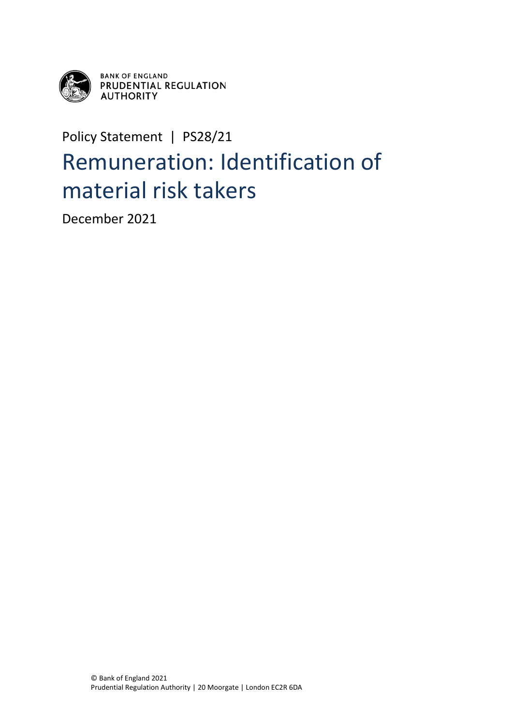

**BANK OF ENGLAND<br>PRUDENTIAL REGULATION AUTHORITY** 

## Policy Statement | PS28/21 Remuneration: Identification of material risk takers

December 2021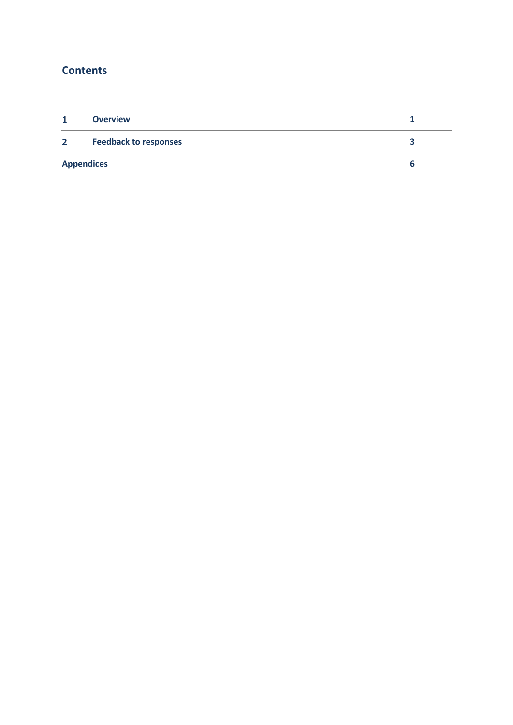## **Contents**

| 1                 | <b>Overview</b>              |  |  |  |  |
|-------------------|------------------------------|--|--|--|--|
| 2 <sub>1</sub>    | <b>Feedback to responses</b> |  |  |  |  |
| <b>Appendices</b> |                              |  |  |  |  |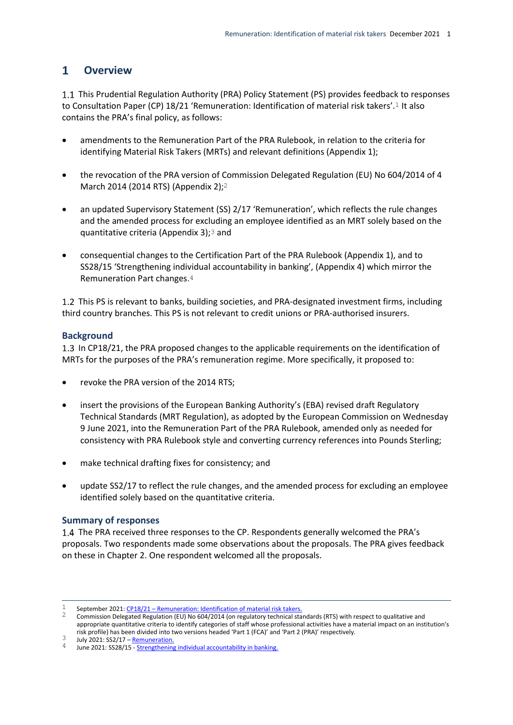#### <span id="page-3-0"></span> $\mathbf{1}$ **Overview**

1.1 This Prudential Regulation Authority (PRA) Policy Statement (PS) provides feedback to responses to Consultation Paper (CP) 18/21 'Remuneration: Identification of material risk takers'.<sup>1</sup> It also contains the PRA's final policy, as follows:

- amendments to the Remuneration Part of the PRA Rulebook, in relation to the criteria for identifying Material Risk Takers (MRTs) and relevant definitions (Appendix 1);
- the revocation of the PRA version of Commission Delegated Regulation (EU) No 604/2014 of 4 March 2014 (2014 RTS) (Appendix 2);2
- an updated Supervisory Statement (SS) 2/17 'Remuneration', which reflects the rule changes and the amended process for excluding an employee identified as an MRT solely based on the quantitative criteria (Appendix 3);3 and
- consequential changes to the Certification Part of the PRA Rulebook (Appendix 1), and to SS28/15 'Strengthening individual accountability in banking', (Appendix 4) which mirror the Remuneration Part changes.4

1.2 This PS is relevant to banks, building societies, and PRA-designated investment firms, including third country branches. This PS is not relevant to credit unions or PRA-authorised insurers.

#### **Background**

1.3 In CP18/21, the PRA proposed changes to the applicable requirements on the identification of MRTs for the purposes of the PRA's remuneration regime. More specifically, it proposed to:

- revoke the PRA version of the 2014 RTS:
- insert the provisions of the European Banking Authority's (EBA) revised draft Regulatory Technical Standards (MRT Regulation), as adopted by the European Commission on Wednesday 9 June 2021, into the Remuneration Part of the PRA Rulebook, amended only as needed for consistency with PRA Rulebook style and converting currency references into Pounds Sterling;
- make technical drafting fixes for consistency; and
- update SS2/17 to reflect the rule changes, and the amended process for excluding an employee identified solely based on the quantitative criteria.

#### **Summary of responses**

1.4 The PRA received three responses to the CP. Respondents generally welcomed the PRA's proposals. Two respondents made some observations about the proposals. The PRA gives feedback on these in Chapter 2. One respondent welcomed all the proposals.

 $\mathbf{1}$ September 2021: CP18/21 – [Remuneration: Identification of material risk takers.](https://www.bankofengland.co.uk/prudential-regulation/publication/2021/september/remuneration-identification-material-risk-takers)

<sup>&</sup>lt;sup>2</sup> Commission Delegated Regulation (EU) No 604/2014 (on regulatory technical standards (RTS) with respect to qualitative and appropriate quantitative criteria to identify categories of staff whose professional activities have a material impact on an institution's risk profile) has been divided into two versions headed 'Part 1 (FCA)' and 'Part 2 (PRA)' respectively.

 $3$  July 2021: SS2/17 – [Remuneration.](https://www.bankofengland.co.uk/prudential-regulation/publication/2017/remuneration-ss)

June 2021: SS28/15 - [Strengthening individual accountability in banking.](https://www.bankofengland.co.uk/prudential-regulation/publication/2015/strengthening-individual-accountability-in-banking-ss)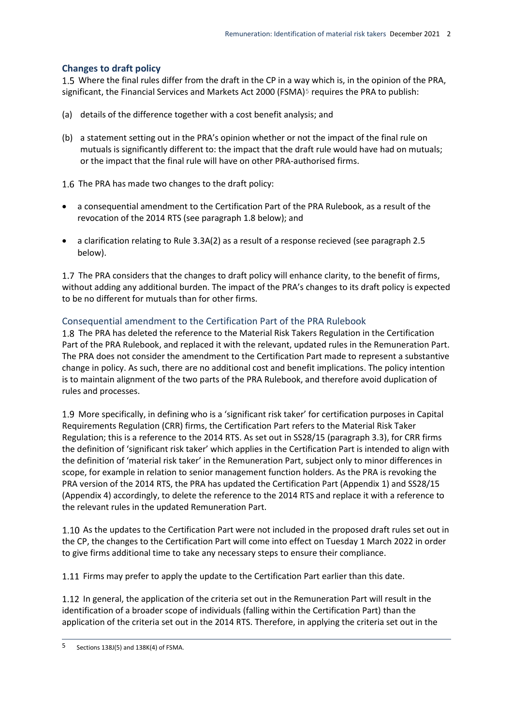#### **Changes to draft policy**

1.5 Where the final rules differ from the draft in the CP in a way which is, in the opinion of the PRA, significant, the Financial Services and Markets Act 2000 (FSMA) $5$  requires the PRA to publish:

- (a) details of the difference together with a cost benefit analysis; and
- (b) a statement setting out in the PRA's opinion whether or not the impact of the final rule on mutuals is significantly different to: the impact that the draft rule would have had on mutuals; or the impact that the final rule will have on other PRA-authorised firms.

1.6 The PRA has made two changes to the draft policy:

- a consequential amendment to the Certification Part of the PRA Rulebook, as a result of the revocation of the 2014 RTS (see paragraph 1.8 below); and
- a clarification relating to Rule 3.3A(2) as a result of a response recieved (see paragraph 2.5 below).

1.7 The PRA considers that the changes to draft policy will enhance clarity, to the benefit of firms, without adding any additional burden. The impact of the PRA's changes to its draft policy is expected to be no different for mutuals than for other firms.

#### Consequential amendment to the Certification Part of the PRA Rulebook

1.8 The PRA has deleted the reference to the Material Risk Takers Regulation in the Certification Part of the PRA Rulebook, and replaced it with the relevant, updated rules in the Remuneration Part. The PRA does not consider the amendment to the Certification Part made to represent a substantive change in policy. As such, there are no additional cost and benefit implications. The policy intention is to maintain alignment of the two parts of the PRA Rulebook, and therefore avoid duplication of rules and processes.

1.9 More specifically, in defining who is a 'significant risk taker' for certification purposes in Capital Requirements Regulation (CRR) firms, the Certification Part refers to the Material Risk Taker Regulation; this is a reference to the 2014 RTS. As set out in SS28/15 (paragraph 3.3), for CRR firms the definition of 'significant risk taker' which applies in the Certification Part is intended to align with the definition of 'material risk taker' in the Remuneration Part, subject only to minor differences in scope, for example in relation to senior management function holders. As the PRA is revoking the PRA version of the 2014 RTS, the PRA has updated the Certification Part (Appendix 1) and SS28/15 (Appendix 4) accordingly, to delete the reference to the 2014 RTS and replace it with a reference to the relevant rules in the updated Remuneration Part.

1.10 As the updates to the Certification Part were not included in the proposed draft rules set out in the CP, the changes to the Certification Part will come into effect on Tuesday 1 March 2022 in order to give firms additional time to take any necessary steps to ensure their compliance.

1.11 Firms may prefer to apply the update to the Certification Part earlier than this date.

In general, the application of the criteria set out in the Remuneration Part will result in the identification of a broader scope of individuals (falling within the Certification Part) than the application of the criteria set out in the 2014 RTS. Therefore, in applying the criteria set out in the

<sup>5</sup> 5 Sections 138J(5) and 138K(4) of FSMA.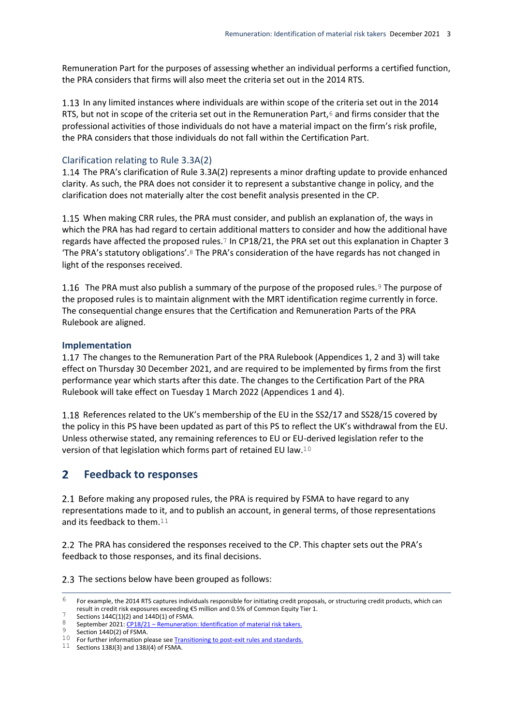Remuneration Part for the purposes of assessing whether an individual performs a certified function, the PRA considers that firms will also meet the criteria set out in the 2014 RTS.

In any limited instances where individuals are within scope of the criteria set out in the 2014 RTS, but not in scope of the criteria set out in the Remuneration Part, $6$  and firms consider that the professional activities of those individuals do not have a material impact on the firm's risk profile, the PRA considers that those individuals do not fall within the Certification Part.

#### Clarification relating to Rule 3.3A(2)

1.14 The PRA's clarification of Rule 3.3A(2) represents a minor drafting update to provide enhanced clarity. As such, the PRA does not consider it to represent a substantive change in policy, and the clarification does not materially alter the cost benefit analysis presented in the CP.

When making CRR rules, the PRA must consider, and publish an explanation of, the ways in which the PRA has had regard to certain additional matters to consider and how the additional have regards have affected the proposed rules.7 In CP18/21, the PRA set out this explanation in Chapter 3 The PRA's statutory obligations'.<sup>8</sup> The PRA's consideration of the have regards has not changed in light of the responses received.

1.16 The PRA must also publish a summary of the purpose of the proposed rules.<sup>9</sup> The purpose of the proposed rules is to maintain alignment with the MRT identification regime currently in force. The consequential change ensures that the Certification and Remuneration Parts of the PRA Rulebook are aligned.

#### **Implementation**

The changes to the Remuneration Part of the PRA Rulebook (Appendices 1, 2 and 3) will take effect on Thursday 30 December 2021, and are required to be implemented by firms from the first performance year which starts after this date. The changes to the Certification Part of the PRA Rulebook will take effect on Tuesday 1 March 2022 (Appendices 1 and 4).

1.18 References related to the UK's membership of the EU in the SS2/17 and SS28/15 covered by the policy in this PS have been updated as part of this PS to reflect the UK's withdrawal from the EU. Unless otherwise stated, any remaining references to EU or EU-derived legislation refer to the version of that legislation which forms part of retained EU law.10

#### <span id="page-5-0"></span> $\mathbf{2}$ **Feedback to responses**

2.1 Before making any proposed rules, the PRA is required by FSMA to have regard to any representations made to it, and to publish an account, in general terms, of those representations and its feedback to them.11

2.2 The PRA has considered the responses received to the CP. This chapter sets out the PRA's feedback to those responses, and its final decisions.

2.3 The sections below have been grouped as follows:

 $6<sup>1</sup>$ 6 For example, the 2014 RTS captures individuals responsible for initiating credit proposals, or structuring credit products, which can result in credit risk exposures exceeding €5 million and 0.5% of Common Equity Tier 1.

 $\frac{7}{8}$  Sections 144C(1)(2) and 144D(1) of FSMA.

September 2021: CP18/21 – [Remuneration: Identification of material risk takers.](https://www.bankofengland.co.uk/prudential-regulation/publication/2021/september/remuneration-identification-material-risk-takers)

Section 144D(2) of FSMA.

<sup>10</sup> For further information please se[e Transitioning to post-exit rules and standards.](https://www.bankofengland.co.uk/eu-withdrawal/transitioning-to-post-exit-rules-and-standards)

 $11$  Sections 138J(3) and 138J(4) of FSMA.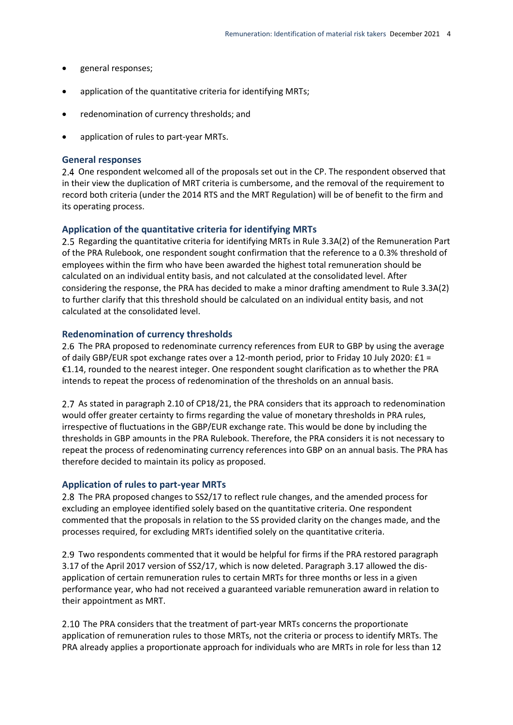- general responses;
- application of the quantitative criteria for identifying MRTs;
- redenomination of currency thresholds; and
- application of rules to part-year MRTs.

#### **General responses**

2.4 One respondent welcomed all of the proposals set out in the CP. The respondent observed that in their view the duplication of MRT criteria is cumbersome, and the removal of the requirement to record both criteria (under the 2014 RTS and the MRT Regulation) will be of benefit to the firm and its operating process.

#### **Application of the quantitative criteria for identifying MRTs**

Regarding the quantitative criteria for identifying MRTs in Rule 3.3A(2) of the Remuneration Part of the PRA Rulebook, one respondent sought confirmation that the reference to a 0.3% threshold of employees within the firm who have been awarded the highest total remuneration should be calculated on an individual entity basis, and not calculated at the consolidated level. After considering the response, the PRA has decided to make a minor drafting amendment to Rule 3.3A(2) to further clarify that this threshold should be calculated on an individual entity basis, and not calculated at the consolidated level.

#### **Redenomination of currency thresholds**

2.6 The PRA proposed to redenominate currency references from EUR to GBP by using the average of daily GBP/EUR spot exchange rates over a 12-month period, prior to Friday 10 July 2020: £1 = €1.14, rounded to the nearest integer. One respondent sought clarification as to whether the PRA intends to repeat the process of redenomination of the thresholds on an annual basis.

2.7 As stated in paragraph 2.10 of CP18/21, the PRA considers that its approach to redenomination would offer greater certainty to firms regarding the value of monetary thresholds in PRA rules, irrespective of fluctuations in the GBP/EUR exchange rate. This would be done by including the thresholds in GBP amounts in the PRA Rulebook. Therefore, the PRA considers it is not necessary to repeat the process of redenominating currency references into GBP on an annual basis. The PRA has therefore decided to maintain its policy as proposed.

#### **Application of rules to part-year MRTs**

2.8 The PRA proposed changes to SS2/17 to reflect rule changes, and the amended process for excluding an employee identified solely based on the quantitative criteria. One respondent commented that the proposals in relation to the SS provided clarity on the changes made, and the processes required, for excluding MRTs identified solely on the quantitative criteria.

2.9 Two respondents commented that it would be helpful for firms if the PRA restored paragraph 3.17 of the April 2017 version of SS2/17, which is now deleted. Paragraph 3.17 allowed the disapplication of certain remuneration rules to certain MRTs for three months or less in a given performance year, who had not received a guaranteed variable remuneration award in relation to their appointment as MRT.

2.10 The PRA considers that the treatment of part-year MRTs concerns the proportionate application of remuneration rules to those MRTs, not the criteria or process to identify MRTs. The PRA already applies a proportionate approach for individuals who are MRTs in role for less than 12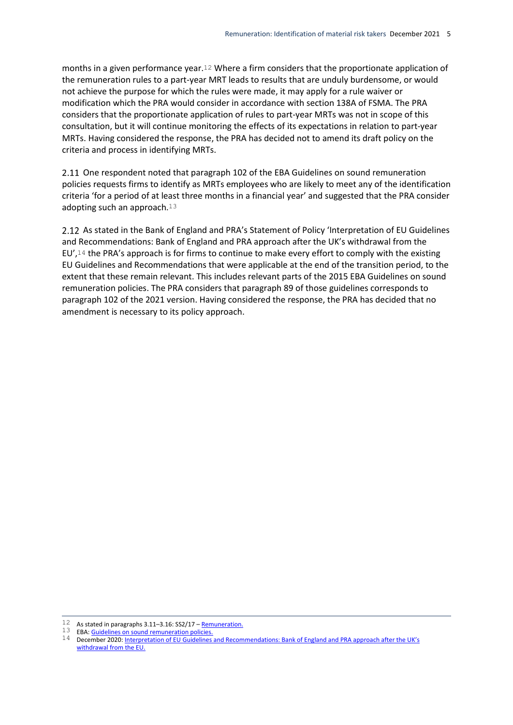months in a given performance year.12 Where a firm considers that the proportionate application of the remuneration rules to a part-year MRT leads to results that are unduly burdensome, or would not achieve the purpose for which the rules were made, it may apply for a rule waiver or modification which the PRA would consider in accordance with section 138A of FSMA. The PRA considers that the proportionate application of rules to part-year MRTs was not in scope of this consultation, but it will continue monitoring the effects of its expectations in relation to part-year MRTs. Having considered the response, the PRA has decided not to amend its draft policy on the criteria and process in identifying MRTs.

2.11 One respondent noted that paragraph 102 of the EBA Guidelines on sound remuneration policies requests firms to identify as MRTs employees who are likely to meet any of the identification criteria 'for a period of at least three months in a financial year' and suggested that the PRA consider adopting such an approach.<sup>13</sup>

2.12 As stated in the Bank of England and PRA's Statement of Policy 'Interpretation of EU Guidelines and Recommendations: Bank of England and PRA approach after the UK's withdrawal from the EU', $14$  the PRA's approach is for firms to continue to make every effort to comply with the existing EU Guidelines and Recommendations that were applicable at the end of the transition period, to the extent that these remain relevant. This includes relevant parts of the 2015 EBA Guidelines on sound remuneration policies. The PRA considers that paragraph 89 of those guidelines corresponds to paragraph 102 of the 2021 version. Having considered the response, the PRA has decided that no amendment is necessary to its policy approach.

 $\overline{a}$ 12 As stated in paragraphs 3.11-3.16: SS2/17 - [Remuneration.](https://www.bankofengland.co.uk/prudential-regulation/publication/2017/remuneration-ss)

<sup>13</sup> EBA[: Guidelines on sound remuneration policies.](https://www.bankofengland.co.uk/-/media/boe/files/paper/2020/december/gl-sound-remuneration.pdf)

<sup>14</sup> December 2020[: Interpretation of EU Guidelines and Recommendations: Bank of England and PRA app](https://www.bankofengland.co.uk/paper/2019/interpretation-of-eu-guidelines-and-recommendations-boe-and-pra-approach-sop)roach after the UK's [withdrawal from the EU.](https://www.bankofengland.co.uk/paper/2019/interpretation-of-eu-guidelines-and-recommendations-boe-and-pra-approach-sop)